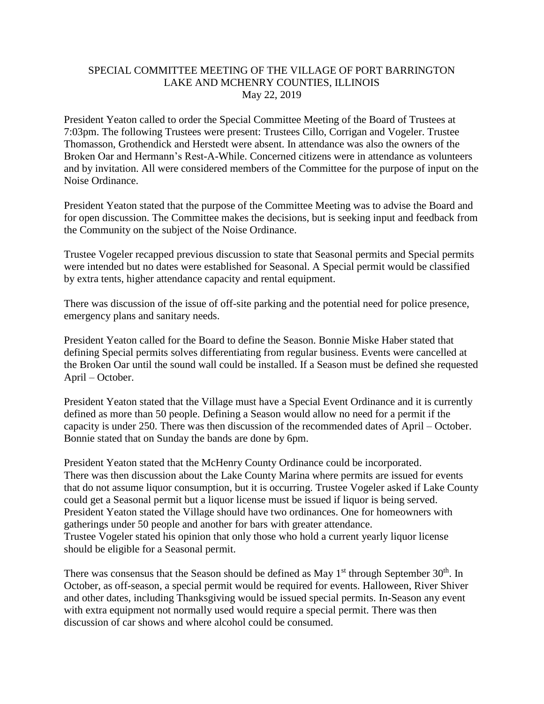## SPECIAL COMMITTEE MEETING OF THE VILLAGE OF PORT BARRINGTON LAKE AND MCHENRY COUNTIES, ILLINOIS May 22, 2019

President Yeaton called to order the Special Committee Meeting of the Board of Trustees at 7:03pm. The following Trustees were present: Trustees Cillo, Corrigan and Vogeler. Trustee Thomasson, Grothendick and Herstedt were absent. In attendance was also the owners of the Broken Oar and Hermann's Rest-A-While. Concerned citizens were in attendance as volunteers and by invitation. All were considered members of the Committee for the purpose of input on the Noise Ordinance.

President Yeaton stated that the purpose of the Committee Meeting was to advise the Board and for open discussion. The Committee makes the decisions, but is seeking input and feedback from the Community on the subject of the Noise Ordinance.

Trustee Vogeler recapped previous discussion to state that Seasonal permits and Special permits were intended but no dates were established for Seasonal. A Special permit would be classified by extra tents, higher attendance capacity and rental equipment.

There was discussion of the issue of off-site parking and the potential need for police presence, emergency plans and sanitary needs.

President Yeaton called for the Board to define the Season. Bonnie Miske Haber stated that defining Special permits solves differentiating from regular business. Events were cancelled at the Broken Oar until the sound wall could be installed. If a Season must be defined she requested April – October.

President Yeaton stated that the Village must have a Special Event Ordinance and it is currently defined as more than 50 people. Defining a Season would allow no need for a permit if the capacity is under 250. There was then discussion of the recommended dates of April – October. Bonnie stated that on Sunday the bands are done by 6pm.

President Yeaton stated that the McHenry County Ordinance could be incorporated. There was then discussion about the Lake County Marina where permits are issued for events that do not assume liquor consumption, but it is occurring. Trustee Vogeler asked if Lake County could get a Seasonal permit but a liquor license must be issued if liquor is being served. President Yeaton stated the Village should have two ordinances. One for homeowners with gatherings under 50 people and another for bars with greater attendance. Trustee Vogeler stated his opinion that only those who hold a current yearly liquor license should be eligible for a Seasonal permit.

There was consensus that the Season should be defined as May  $1<sup>st</sup>$  through September 30<sup>th</sup>. In October, as off-season, a special permit would be required for events. Halloween, River Shiver and other dates, including Thanksgiving would be issued special permits. In-Season any event with extra equipment not normally used would require a special permit. There was then discussion of car shows and where alcohol could be consumed.